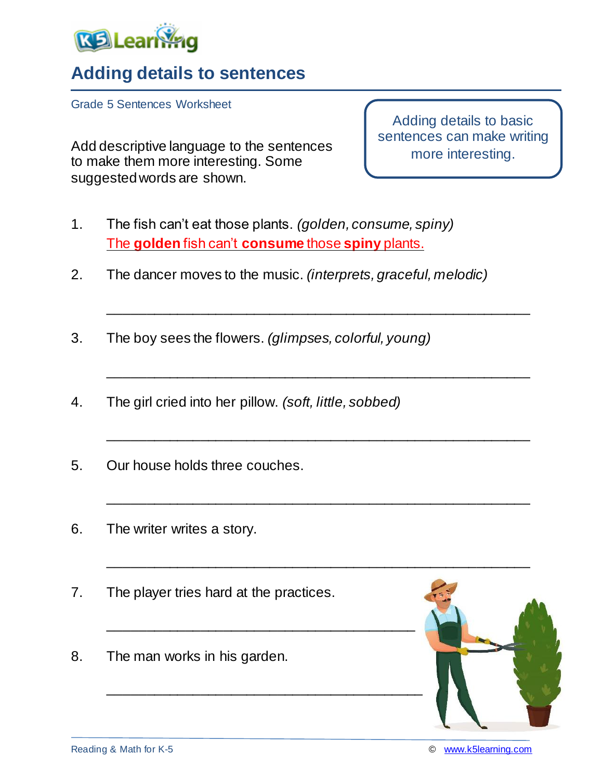

## **Adding details to sentences**

Grade 5 Sentences Worksheet

Add descriptive language to the sentences to make them more interesting. Some suggested words are shown.

Adding details to basic sentences can make writing more interesting.

- 1. The fish can't eat those plants. *(golden, consume, spiny)* The **golden** fish can't **consume** those **spiny** plants.
- 2. The dancer moves to the music. *(interprets, graceful, melodic)*

\_\_\_\_\_\_\_\_\_\_\_\_\_\_\_\_\_\_\_\_\_\_\_\_\_\_\_\_\_\_\_\_\_\_\_\_\_\_\_\_\_\_\_\_\_\_\_\_\_\_\_\_\_\_\_

\_\_\_\_\_\_\_\_\_\_\_\_\_\_\_\_\_\_\_\_\_\_\_\_\_\_\_\_\_\_\_\_\_\_\_\_\_\_\_\_\_\_\_\_\_\_\_\_\_\_\_\_\_\_\_

\_\_\_\_\_\_\_\_\_\_\_\_\_\_\_\_\_\_\_\_\_\_\_\_\_\_\_\_\_\_\_\_\_\_\_\_\_\_\_\_\_\_\_\_\_\_\_\_\_\_\_\_\_\_\_

\_\_\_\_\_\_\_\_\_\_\_\_\_\_\_\_\_\_\_\_\_\_\_\_\_\_\_\_\_\_\_\_\_\_\_\_\_\_\_\_\_\_\_\_\_\_\_\_\_\_\_\_\_\_\_

- 3. The boy sees the flowers. *(glimpses, colorful, young)*
- 4. The girl cried into her pillow. *(soft, little, sobbed)*
- 5. Our house holds three couches.
- 6. The writer writes a story.
- 7. The player tries hard at the practices.

\_\_\_\_\_\_\_\_\_\_\_\_\_\_\_\_\_\_\_\_\_\_\_\_\_\_\_\_\_\_\_\_\_\_\_\_\_\_\_\_

8. The man works in his garden.